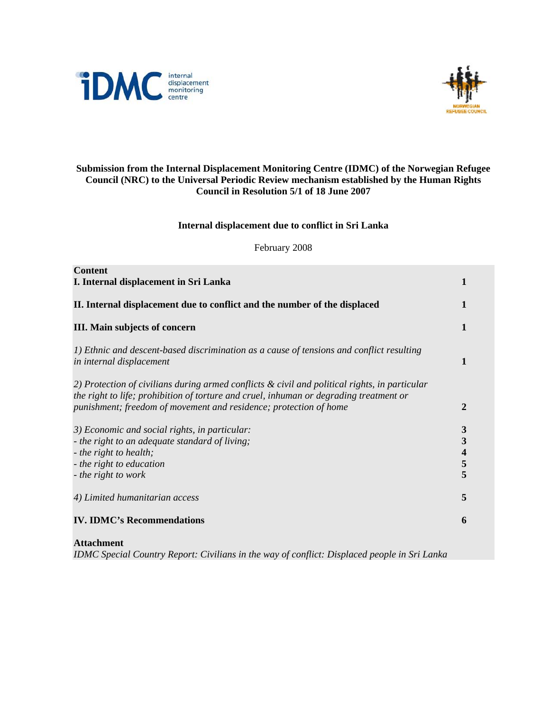



# **Submission from the Internal Displacement Monitoring Centre (IDMC) of the Norwegian Refugee Council (NRC) to the Universal Periodic Review mechanism established by the Human Rights Council in Resolution 5/1 of 18 June 2007**

# **Internal displacement due to conflict in Sri Lanka**

February 2008

| <b>Content</b><br>I. Internal displacement in Sri Lanka                                                                                                                                                                                                      | 1                     |
|--------------------------------------------------------------------------------------------------------------------------------------------------------------------------------------------------------------------------------------------------------------|-----------------------|
| II. Internal displacement due to conflict and the number of the displaced                                                                                                                                                                                    | 1                     |
| III. Main subjects of concern                                                                                                                                                                                                                                | 1                     |
| 1) Ethnic and descent-based discrimination as a cause of tensions and conflict resulting<br>in internal displacement                                                                                                                                         | 1                     |
| 2) Protection of civilians during armed conflicts & civil and political rights, in particular<br>the right to life; prohibition of torture and cruel, inhuman or degrading treatment or<br>punishment; freedom of movement and residence; protection of home | $\overline{2}$        |
| 3) Economic and social rights, in particular:<br>- the right to an adequate standard of living;<br>- the right to health;<br>- the right to education<br>- the right to work                                                                                 | 3<br>3<br>4<br>5<br>5 |
| 4) Limited humanitarian access                                                                                                                                                                                                                               | 5                     |
| <b>IV. IDMC's Recommendations</b>                                                                                                                                                                                                                            | 6                     |

**Attachment** 

*IDMC Special Country Report: Civilians in the way of conflict: Displaced people in Sri Lanka*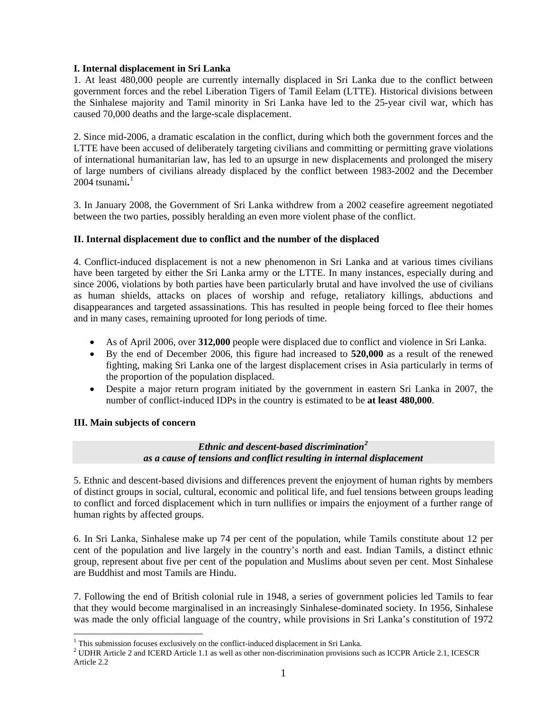# **I. Internal displacement in Sri Lanka**

1. At least 480,000 people are currently internally displaced in Sri Lanka due to the conflict between government forces and the rebel Liberation Tigers of Tamil Eelam (LTTE). Historical divisions between the Sinhalese majority and Tamil minority in Sri Lanka have led to the 25-year civil war, which has caused 70,000 deaths and the large-scale displacement.

2. Since mid-2006, a dramatic escalation in the conflict, during which both the government forces and the LTTE have been accused of deliberately targeting civilians and committing or permitting grave violations of international humanitarian law, has led to an upsurge in new displacements and prolonged the misery of large numbers of civilians already displaced by the conflict between 1983-2002 and the December 2004 tsunami**.** [1](#page-1-0)

3. In January 2008, the Government of Sri Lanka withdrew from a 2002 ceasefire agreement negotiated between the two parties, possibly heralding an even more violent phase of the conflict.

# **II. Internal displacement due to conflict and the number of the displaced**

4. Conflict-induced displacement is not a new phenomenon in Sri Lanka and at various times civilians have been targeted by either the Sri Lanka army or the LTTE. In many instances, especially during and since 2006, violations by both parties have been particularly brutal and have involved the use of civilians as human shields, attacks on places of worship and refuge, retaliatory killings, abductions and disappearances and targeted assassinations. This has resulted in people being forced to flee their homes and in many cases, remaining uprooted for long periods of time.

- As of April 2006, over **312,000** people were displaced due to conflict and violence in Sri Lanka.
- By the end of December 2006, this figure had increased to **520,000** as a result of the renewed fighting, making Sri Lanka one of the largest displacement crises in Asia particularly in terms of the proportion of the population displaced.
- Despite a major return program initiated by the government in eastern Sri Lanka in 2007, the number of conflict-induced IDPs in the country is estimated to be **at least 480,000**.

# **III. Main subjects of concern**

1

# *Ethnic and descent-based discrimination[2](#page-1-1) as a cause of tensions and conflict resulting in internal displacement*

5. Ethnic and descent-based divisions and differences prevent the enjoyment of human rights by members of distinct groups in social, cultural, economic and political life, and fuel tensions between groups leading to conflict and forced displacement which in turn nullifies or impairs the enjoyment of a further range of human rights by affected groups.

6. In Sri Lanka, Sinhalese make up 74 per cent of the population, while Tamils constitute about 12 per cent of the population and live largely in the country's north and east. Indian Tamils, a distinct ethnic group, represent about five per cent of the population and Muslims about seven per cent. Most Sinhalese are Buddhist and most Tamils are Hindu.

7. Following the end of British colonial rule in 1948, a series of government policies led Tamils to fear that they would become marginalised in an increasingly Sinhalese-dominated society. In 1956, Sinhalese was made the only official language of the country, while provisions in Sri Lanka's constitution of 1972

<span id="page-1-0"></span> $1$  This submission focuses exclusively on the conflict-induced displacement in Sri Lanka.

<span id="page-1-1"></span><sup>&</sup>lt;sup>2</sup> UDHR Article 2 and ICERD Article 1.1 as well as other non-discrimination provisions such as ICCPR Article 2.1, ICESCR Article 2.2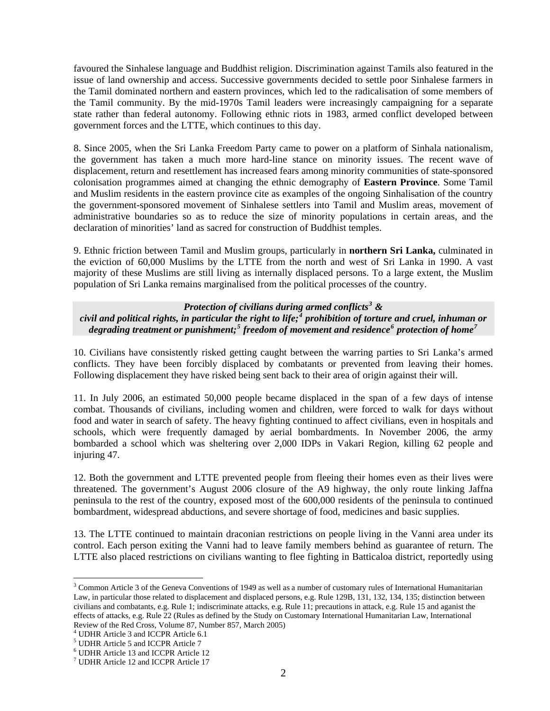favoured the Sinhalese language and Buddhist religion. Discrimination against Tamils also featured in the issue of land ownership and access. Successive governments decided to settle poor Sinhalese farmers in the Tamil dominated northern and eastern provinces, which led to the radicalisation of some members of the Tamil community. By the mid-1970s Tamil leaders were increasingly campaigning for a separate state rather than federal autonomy. Following ethnic riots in 1983, armed conflict developed between government forces and the LTTE, which continues to this day.

8. Since 2005, when the Sri Lanka Freedom Party came to power on a platform of Sinhala nationalism, the government has taken a much more hard-line stance on minority issues. The recent wave of displacement, return and resettlement has increased fears among minority communities of state-sponsored colonisation programmes aimed at changing the ethnic demography of **Eastern Province**. Some Tamil and Muslim residents in the eastern province cite as examples of the ongoing Sinhalisation of the country the government-sponsored movement of Sinhalese settlers into Tamil and Muslim areas, movement of administrative boundaries so as to reduce the size of minority populations in certain areas, and the declaration of minorities' land as sacred for construction of Buddhist temples.

9. Ethnic friction between Tamil and Muslim groups, particularly in **northern Sri Lanka,** culminated in the eviction of 60,000 Muslims by the LTTE from the north and west of Sri Lanka in 1990. A vast majority of these Muslims are still living as internally displaced persons. To a large extent, the Muslim population of Sri Lanka remains marginalised from the political processes of the country.

# *Protection of civilians during armed conflicts[3](#page-2-0) &*

*civil and political rights, in particular the right to life;[4](#page-2-1) prohibition of torture and cruel, inhuman or degrading treatment or punishment;[5](#page-2-2) freedom of movement and residence[6](#page-2-3) protection of home[7](#page-2-4)* 

10. Civilians have consistently risked getting caught between the warring parties to Sri Lanka's armed conflicts. They have been forcibly displaced by combatants or prevented from leaving their homes. Following displacement they have risked being sent back to their area of origin against their will.

11. In July 2006, an estimated 50,000 people became displaced in the span of a few days of intense combat. Thousands of civilians, including women and children, were forced to walk for days without food and water in search of safety. The heavy fighting continued to affect civilians, even in hospitals and schools, which were frequently damaged by aerial bombardments. In November 2006, the army bombarded a school which was sheltering over 2,000 IDPs in Vakari Region, killing 62 people and injuring 47.

12. Both the government and LTTE prevented people from fleeing their homes even as their lives were threatened. The government's August 2006 closure of the A9 highway, the only route linking Jaffna peninsula to the rest of the country, exposed most of the 600,000 residents of the peninsula to continued bombardment, widespread abductions, and severe shortage of food, medicines and basic supplies.

13. The LTTE continued to maintain draconian restrictions on people living in the Vanni area under its control. Each person exiting the Vanni had to leave family members behind as guarantee of return. The LTTE also placed restrictions on civilians wanting to flee fighting in Batticaloa district, reportedly using

<span id="page-2-1"></span>4 UDHR Article 3 and ICCPR Article 6.1

1

<span id="page-2-0"></span><sup>&</sup>lt;sup>3</sup> Common Article 3 of the Geneva Conventions of 1949 as well as a number of customary rules of International Humanitarian Law, in particular those related to displacement and displaced persons, e.g. Rule 129B, 131, 132, 134, 135; distinction between civilians and combatants, e.g. Rule 1; indiscriminate attacks, e.g. Rule 11; precautions in attack, e.g. Rule 15 and aganist the effects of attacks, e.g. Rule 22 (Rules as defined by the Study on Customary International Humanitarian Law, International Review of the Red Cross, Volume 87, Number 857, March 2005)

<sup>5</sup> UDHR Article 5 and ICCPR Article 7

<span id="page-2-3"></span><span id="page-2-2"></span><sup>6</sup> UDHR Article 13 and ICCPR Article 12

<span id="page-2-4"></span><sup>7</sup> UDHR Article 12 and ICCPR Article 17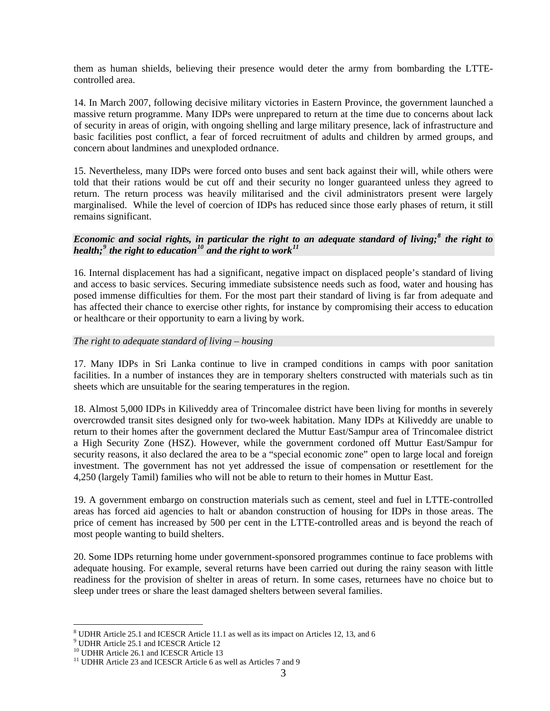them as human shields, believing their presence would deter the army from bombarding the LTTEcontrolled area.

14. In March 2007, following decisive military victories in Eastern Province, the government launched a massive return programme. Many IDPs were unprepared to return at the time due to concerns about lack of security in areas of origin, with ongoing shelling and large military presence, lack of infrastructure and basic facilities post conflict, a fear of forced recruitment of adults and children by armed groups, and concern about landmines and unexploded ordnance.

15. Nevertheless, many IDPs were forced onto buses and sent back against their will, while others were told that their rations would be cut off and their security no longer guaranteed unless they agreed to return. The return process was heavily militarised and the civil administrators present were largely marginalised. While the level of coercion of IDPs has reduced since those early phases of return, it still remains significant.

# *Economic and social rights, in particular the right to an adequate standard of living;[8](#page-3-0) the right to health;[9](#page-3-1) the right to education[10](#page-3-2) and the right to work[11](#page-3-3)*

16. Internal displacement has had a significant, negative impact on displaced people's standard of living and access to basic services. Securing immediate subsistence needs such as food, water and housing has posed immense difficulties for them. For the most part their standard of living is far from adequate and has affected their chance to exercise other rights, for instance by compromising their access to education or healthcare or their opportunity to earn a living by work.

#### *The right to adequate standard of living – housing*

17. Many IDPs in Sri Lanka continue to live in cramped conditions in camps with poor sanitation facilities. In a number of instances they are in temporary shelters constructed with materials such as tin sheets which are unsuitable for the searing temperatures in the region.

18. Almost 5,000 IDPs in Kiliveddy area of Trincomalee district have been living for months in severely overcrowded transit sites designed only for two-week habitation. Many IDPs at Kiliveddy are unable to return to their homes after the government declared the Muttur East/Sampur area of Trincomalee district a High Security Zone (HSZ). However, while the government cordoned off Muttur East/Sampur for security reasons, it also declared the area to be a "special economic zone" open to large local and foreign investment. The government has not yet addressed the issue of compensation or resettlement for the 4,250 (largely Tamil) families who will not be able to return to their homes in Muttur East.

19. A government embargo on construction materials such as cement, steel and fuel in LTTE-controlled areas has forced aid agencies to halt or abandon construction of housing for IDPs in those areas. The price of cement has increased by 500 per cent in the LTTE-controlled areas and is beyond the reach of most people wanting to build shelters.

20. Some IDPs returning home under government-sponsored programmes continue to face problems with adequate housing. For example, several returns have been carried out during the rainy season with little readiness for the provision of shelter in areas of return. In some cases, returnees have no choice but to sleep under trees or share the least damaged shelters between several families.

<sup>1</sup> <sup>8</sup> UDHR Article 25.1 and ICESCR Article 11.1 as well as its impact on Articles 12, 13, and 6  $\frac{9}{2}$  UDHR Article 25.1 and ICESCR Article 12

<span id="page-3-2"></span><span id="page-3-1"></span><span id="page-3-0"></span><sup>&</sup>lt;sup>9</sup> UDHR Article 25.1 and ICESCR Article 12

<sup>&</sup>lt;sup>10</sup> UDHR Article 26.1 and ICESCR Article 13

<span id="page-3-3"></span> $11$  UDHR Article 23 and ICESCR Article 6 as well as Articles 7 and 9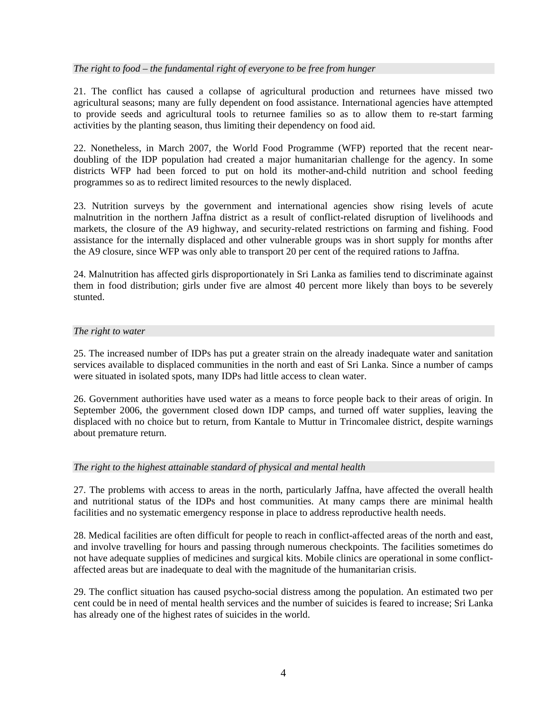### *The right to food – the fundamental right of everyone to be free from hunger*

21. The conflict has caused a collapse of agricultural production and returnees have missed two agricultural seasons; many are fully dependent on food assistance. International agencies have attempted to provide seeds and agricultural tools to returnee families so as to allow them to re-start farming activities by the planting season, thus limiting their dependency on food aid.

22. Nonetheless, in March 2007, the World Food Programme (WFP) reported that the recent neardoubling of the IDP population had created a major humanitarian challenge for the agency. In some districts WFP had been forced to put on hold its mother-and-child nutrition and school feeding programmes so as to redirect limited resources to the newly displaced.

23. Nutrition surveys by the government and international agencies show rising levels of acute malnutrition in the northern Jaffna district as a result of conflict-related disruption of livelihoods and markets, the closure of the A9 highway, and security-related restrictions on farming and fishing. Food assistance for the internally displaced and other vulnerable groups was in short supply for months after the A9 closure, since WFP was only able to transport 20 per cent of the required rations to Jaffna.

24. Malnutrition has affected girls disproportionately in Sri Lanka as families tend to discriminate against them in food distribution; girls under five are almost 40 percent more likely than boys to be severely stunted.

#### *The right to water*

25. The increased number of IDPs has put a greater strain on the already inadequate water and sanitation services available to displaced communities in the north and east of Sri Lanka. Since a number of camps were situated in isolated spots, many IDPs had little access to clean water.

26. Government authorities have used water as a means to force people back to their areas of origin. In September 2006, the government closed down IDP camps, and turned off water supplies, leaving the displaced with no choice but to return, from Kantale to Muttur in Trincomalee district, despite warnings about premature return.

#### *The right to the highest attainable standard of physical and mental health*

27. The problems with access to areas in the north, particularly Jaffna, have affected the overall health and nutritional status of the IDPs and host communities. At many camps there are minimal health facilities and no systematic emergency response in place to address reproductive health needs.

28. Medical facilities are often difficult for people to reach in conflict-affected areas of the north and east, and involve travelling for hours and passing through numerous checkpoints. The facilities sometimes do not have adequate supplies of medicines and surgical kits. Mobile clinics are operational in some conflictaffected areas but are inadequate to deal with the magnitude of the humanitarian crisis.

29. The conflict situation has caused psycho-social distress among the population. An estimated two per cent could be in need of mental health services and the number of suicides is feared to increase; Sri Lanka has already one of the highest rates of suicides in the world.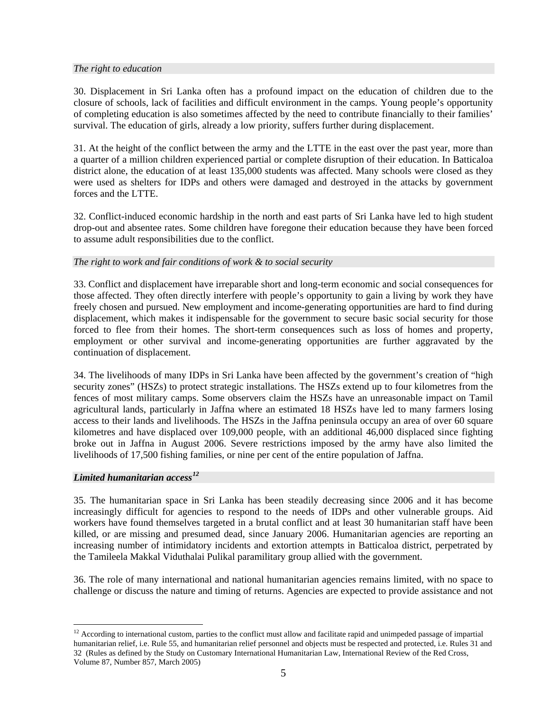# *The right to education*

30. Displacement in Sri Lanka often has a profound impact on the education of children due to the closure of schools, lack of facilities and difficult environment in the camps. Young people's opportunity of completing education is also sometimes affected by the need to contribute financially to their families' survival. The education of girls, already a low priority, suffers further during displacement.

31. At the height of the conflict between the army and the LTTE in the east over the past year, more than a quarter of a million children experienced partial or complete disruption of their education. In Batticaloa district alone, the education of at least 135,000 students was affected. Many schools were closed as they were used as shelters for IDPs and others were damaged and destroyed in the attacks by government forces and the LTTE.

32. Conflict-induced economic hardship in the north and east parts of Sri Lanka have led to high student drop-out and absentee rates. Some children have foregone their education because they have been forced to assume adult responsibilities due to the conflict.

# *The right to work and fair conditions of work & to social security*

33. Conflict and displacement have irreparable short and long-term economic and social consequences for those affected. They often directly interfere with people's opportunity to gain a living by work they have freely chosen and pursued. New employment and income-generating opportunities are hard to find during displacement, which makes it indispensable for the government to secure basic social security for those forced to flee from their homes. The short-term consequences such as loss of homes and property, employment or other survival and income-generating opportunities are further aggravated by the continuation of displacement.

34. The livelihoods of many IDPs in Sri Lanka have been affected by the government's creation of "high security zones" (HSZs) to protect strategic installations. The HSZs extend up to four kilometres from the fences of most military camps. Some observers claim the HSZs have an unreasonable impact on Tamil agricultural lands, particularly in Jaffna where an estimated 18 HSZs have led to many farmers losing access to their lands and livelihoods. The HSZs in the Jaffna peninsula occupy an area of over 60 square kilometres and have displaced over 109,000 people, with an additional 46,000 displaced since fighting broke out in Jaffna in August 2006. Severe restrictions imposed by the army have also limited the livelihoods of 17,500 fishing families, or nine per cent of the entire population of Jaffna.

### *Limited humanitarian access[12](#page-5-0)*

1

35. The humanitarian space in Sri Lanka has been steadily decreasing since 2006 and it has become increasingly difficult for agencies to respond to the needs of IDPs and other vulnerable groups. Aid workers have found themselves targeted in a brutal conflict and at least 30 humanitarian staff have been killed, or are missing and presumed dead, since January 2006. Humanitarian agencies are reporting an increasing number of intimidatory incidents and extortion attempts in Batticaloa district, perpetrated by the Tamileela Makkal Viduthalai Pulikal paramilitary group allied with the government.

36. The role of many international and national humanitarian agencies remains limited, with no space to challenge or discuss the nature and timing of returns. Agencies are expected to provide assistance and not

<span id="page-5-0"></span><sup>&</sup>lt;sup>12</sup> According to international custom, parties to the conflict must allow and facilitate rapid and unimpeded passage of impartial humanitarian relief, i.e. Rule 55, and humanitarian relief personnel and objects must be respected and protected, i.e. Rules 31 and 32 (Rules as defined by the Study on Customary International Humanitarian Law, International Review of the Red Cross, Volume 87, Number 857, March 2005)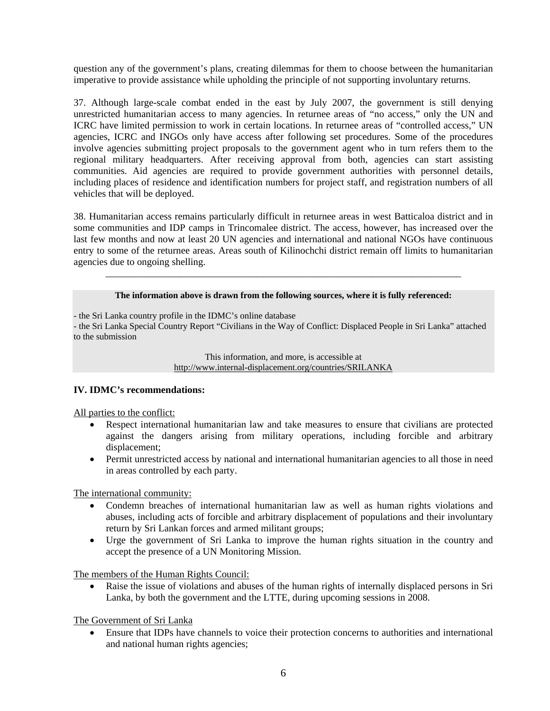question any of the government's plans, creating dilemmas for them to choose between the humanitarian imperative to provide assistance while upholding the principle of not supporting involuntary returns.

37. Although large-scale combat ended in the east by July 2007, the government is still denying unrestricted humanitarian access to many agencies. In returnee areas of "no access," only the UN and ICRC have limited permission to work in certain locations. In returnee areas of "controlled access," UN agencies, ICRC and INGOs only have access after following set procedures. Some of the procedures involve agencies submitting project proposals to the government agent who in turn refers them to the regional military headquarters. After receiving approval from both, agencies can start assisting communities. Aid agencies are required to provide government authorities with personnel details, including places of residence and identification numbers for project staff, and registration numbers of all vehicles that will be deployed.

38. Humanitarian access remains particularly difficult in returnee areas in west Batticaloa district and in some communities and IDP camps in Trincomalee district. The access, however, has increased over the last few months and now at least 20 UN agencies and international and national NGOs have continuous entry to some of the returnee areas. Areas south of Kilinochchi district remain off limits to humanitarian agencies due to ongoing shelling.

#### **The information above is drawn from the following sources, where it is fully referenced:**

\_\_\_\_\_\_\_\_\_\_\_\_\_\_\_\_\_\_\_\_\_\_\_\_\_\_\_\_\_\_\_\_\_\_\_\_\_\_\_\_\_\_\_\_\_\_\_\_\_\_\_\_\_\_\_\_\_\_\_\_\_\_\_\_\_\_\_\_\_\_\_\_

- the Sri Lanka country profile in the IDMC's online database

- the Sri Lanka Special Country Report "Civilians in the Way of Conflict: Displaced People in Sri Lanka" attached to the submission

> This information, and more, is accessible at http://www.internal-displacement.org/countries/SRILANKA

# **IV. IDMC's recommendations:**

All parties to the conflict:

- Respect international humanitarian law and take measures to ensure that civilians are protected against the dangers arising from military operations, including forcible and arbitrary displacement;
- Permit unrestricted access by national and international humanitarian agencies to all those in need in areas controlled by each party.

The international community:

- Condemn breaches of international humanitarian law as well as human rights violations and abuses, including acts of forcible and arbitrary displacement of populations and their involuntary return by Sri Lankan forces and armed militant groups;
- Urge the government of Sri Lanka to improve the human rights situation in the country and accept the presence of a UN Monitoring Mission.

The members of the Human Rights Council:

Raise the issue of violations and abuses of the human rights of internally displaced persons in Sri Lanka, by both the government and the LTTE, during upcoming sessions in 2008.

The Government of Sri Lanka

• Ensure that IDPs have channels to voice their protection concerns to authorities and international and national human rights agencies;